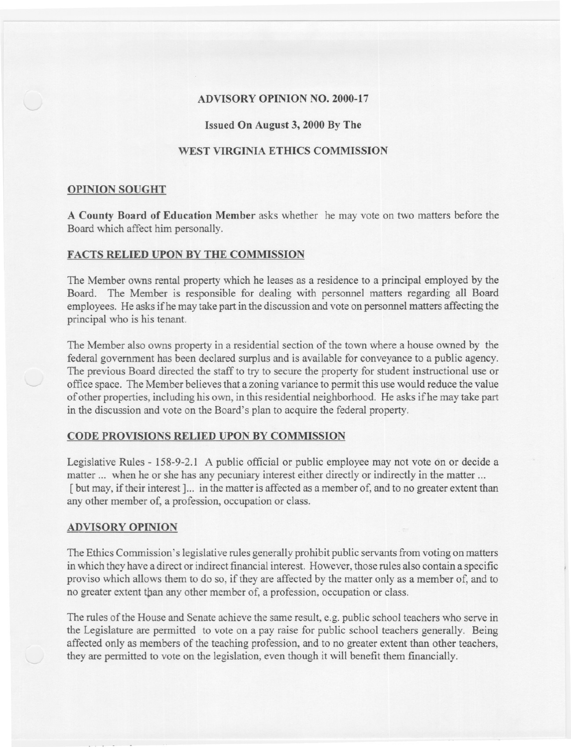## ADVISORY OPINION NO. 2000-17

## Issued On August 3, 2000 By The

# WEST VIRGINIA ETHICS COMMISSION

#### OPINION SOUGHT

A County Board of Education Member asks whether he may vote on two matters before the Board which affect him personally.

## FACTS RELIED UPON BY THE COMMISSION

The Member owns rental property which he leases as a residence to a principal employed by the Board. The Member is responsible for dealing with personnel matters regarding all Board employees. He asks ifhe may take part in the discussion and vote on personnel matters affecting the principal who is his tenant.

The Member also owns property in a residential section of the town where a house owned by the federal government has been declared surplus and is available for conveyance to a public agency. The previous Board directed the staff to try to secure the property for student instructional use or office space. The Member believes that a zoning variance to permit this use would reduce the value of other properties, including his own, in this residential neighborhood. He asks ifhe may take part in the discussion and vote on the Board's plan to acquire the federal property.

#### CODE PROVISIONS RELIED UPON BY COMMISSION

Legislative Rules - 158-9-2.1 A public official or public employee may not vote on or decide a matter ... when he or she has any pecuniary interest either directly or indirectly in the matter ... [but may, if their interest]... in the matter is affected as a member of, and to no greater extent than any other member of, a profession, occupation or class.

#### ADVISORY OPINION

The Ethics Commission's legislative rules generally prohibit public servants from voting on matters in which they have a direct or indirect financial interest. However, those rules also contain a specific proviso which allows them to do so, if they are affected by the matter only as a member of, and to no greater extent than any other member of, a profession, occupation or class.

The rules of the House and Senate achieve the same result, e.g. public school teachers who serve in the Legislature are permitted to vote on a pay raise for public school teachers generally. Being affected only as members of the teaching profession, and to no greater extent than other teachers, they are permitted to vote on the legislation, even though it will benefit them financially.